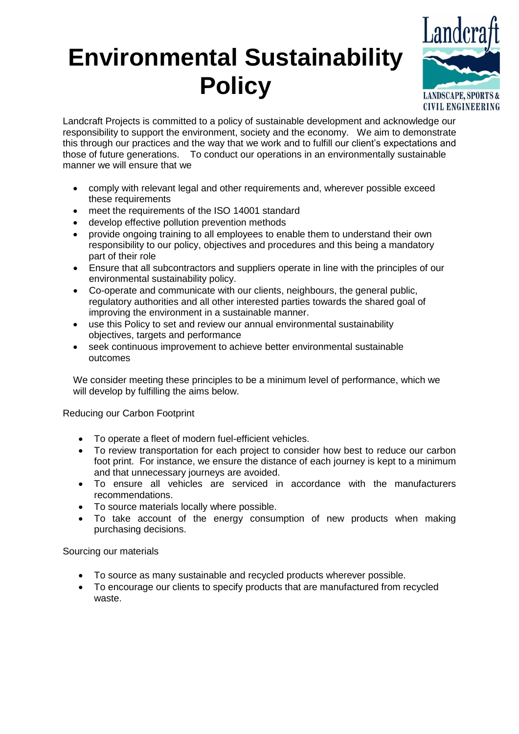## **Environmental Sustainability Policy**



Landcraft Projects is committed to a policy of sustainable development and acknowledge our responsibility to support the environment, society and the economy. We aim to demonstrate this through our practices and the way that we work and to fulfill our client's expectations and those of future generations. To conduct our operations in an environmentally sustainable manner we will ensure that we

- comply with relevant legal and other requirements and, wherever possible exceed these requirements
- meet the requirements of the ISO 14001 standard
- develop effective pollution prevention methods
- provide ongoing training to all employees to enable them to understand their own responsibility to our policy, objectives and procedures and this being a mandatory part of their role
- Ensure that all subcontractors and suppliers operate in line with the principles of our environmental sustainability policy.
- Co-operate and communicate with our clients, neighbours, the general public, regulatory authorities and all other interested parties towards the shared goal of improving the environment in a sustainable manner.
- use this Policy to set and review our annual environmental sustainability objectives, targets and performance
- seek continuous improvement to achieve better environmental sustainable outcomes

We consider meeting these principles to be a minimum level of performance, which we will develop by fulfilling the aims below.

## Reducing our Carbon Footprint

- To operate a fleet of modern fuel-efficient vehicles.
- To review transportation for each project to consider how best to reduce our carbon foot print. For instance, we ensure the distance of each journey is kept to a minimum and that unnecessary journeys are avoided.
- To ensure all vehicles are serviced in accordance with the manufacturers recommendations.
- To source materials locally where possible.
- To take account of the energy consumption of new products when making purchasing decisions.

## Sourcing our materials

- To source as many sustainable and recycled products wherever possible.
- To encourage our clients to specify products that are manufactured from recycled waste.